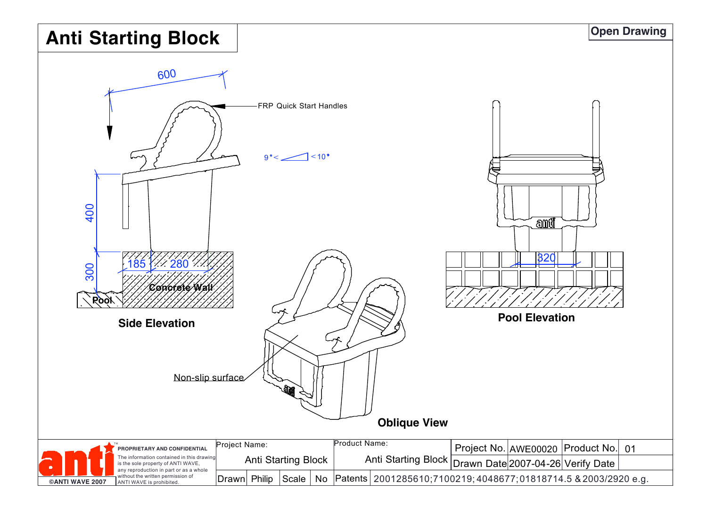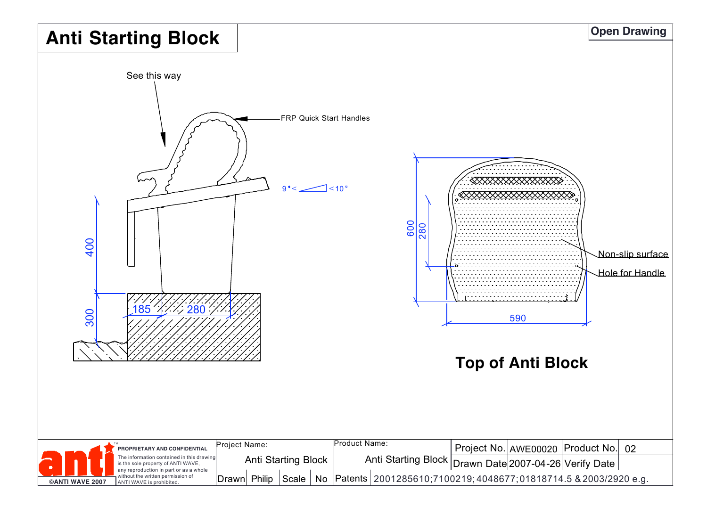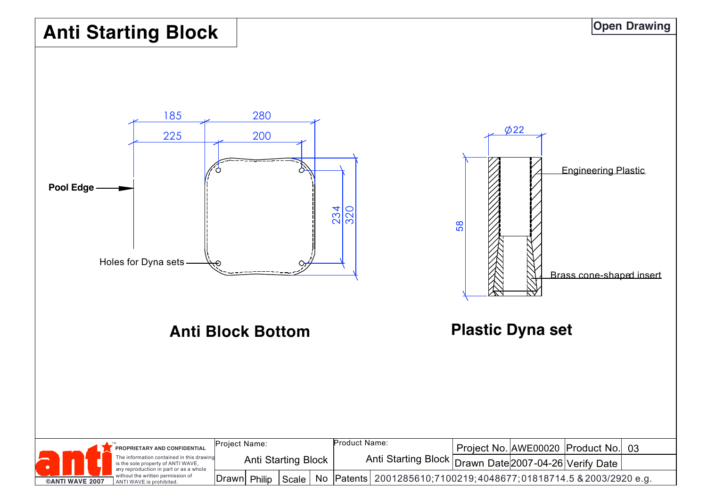